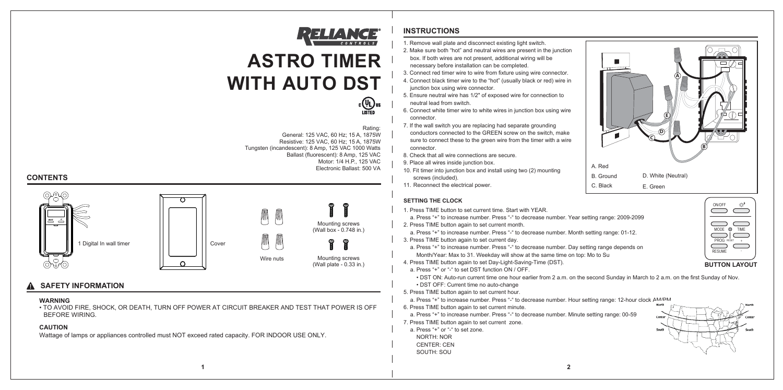

# **ASTRO TIMER WITH AUTO DST**



# **INSTRUCTIONS**

**CONTENTS**

### **WARNING**

• TO AVOID FIRE, SHOCK, OR DEATH, TURN OFF POWER AT CIRCUIT BREAKER AND TEST THAT POWER IS OFF BEFORE WIRING.

### **CAUTION**

Wattage of lamps or appliances controlled must NOT exceed rated capacity. FOR INDOOR USE ONLY.

### **SAFETY INFORMATION**

- 1. Remove wall plate and disconnect existing light switch.
- 2. Make sure both "hot" and neutral wires are present in the junction box. If both wires are not present, additional wiring will be necessary before installation can be completed.
- 3. Connect red timer wire to wire from fixture using wire connector.
- 4. Connect black timer wire to the "hot" (usually black or red) wire in junction box using wire connector.
- 5. Ensure neutral wire has 1/2" of exposed wire for connection to neutral lead from switch.
- 6. Connect white timer wire to white wires in junction box using wire connector.
- 7. If the wall switch you are replacing had separate grounding conductors connected to the GREEN screw on the switch, make sure to connect these to the green wire from the timer with a wire connector.
- 8. Check that all wire connections are secure.
- 9. Place all wires inside junction box.
- 10. Fit timer into junction box and install using two (2) mounting screws (included).
- 11. Reconnect the electrical power.

### Rating:

General: 125 VAC, 60 Hz; 15 A, 1875W Resistive: 125 VAC, 60 Hz; 15 A, 1875W Tungsten (incandescent): 8 Amp, 125 VAC 1000 Watts Electronic Ballast: 500 VA Ballast (fluorescent): 8 Amp, 125 VAC Motor: 1/4 H.P., 125 VAC





### **SETTING THE CLOCK**

- 1. Press TIME button to set current time. Start with YEAR.
- a. Press "+" to increase number. Press "-" to decrease number. Year setting range: 2009-2099
- 2. Press TIME button again to set current month.
- a. Press "+" to increase number. Press "-" to decrease number. Month setting range: 01-12.
- 3. Press TIME button again to set current day.
- a. Press "+" to increase number. Press "-" to decrease number. Day setting range depends on Month/Year: Max to 31. Weekday will show at the same time on top: Mo to Su
- 4. Press TIME button again to set Day-Light-Saving-Time (DST).
- a. Press "+" or "-" to set DST function ON / OFF.
- DST ON: Auto-run current time one hour earlier from 2 a.m. on the second Sunday in March to 2 a.m. on the first Sunday of Nov. • DST OFF: Current time no auto-change
- 5. Press TIME button again to set current hour.
- a. Press "+" to increase number. Press "-" to decrease number. Hour setting range: 12-hour clock AM/PM. 6. Press TIME button again to set current minute.
- 
- a. Press "+" to increase number. Press "-" to decrease number. Minute setting range: 00-59
- 7. Press TIME button again to set current zone.
- a. Press "+" or "-" to set zone. NORTH: NOR CENTER: CEN
- SOUTH: SOU



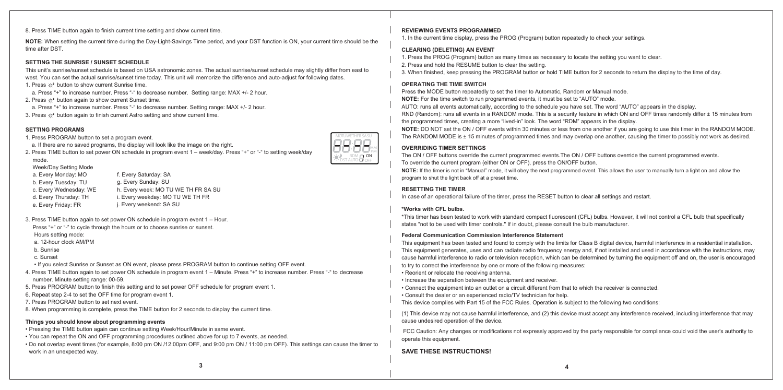**NOTE:** When setting the current time during the Day-Light-Savings Time period, and your DST function is ON, your current time should be the time after DST.

### **SETTING PROGRAMS**

- 1. Press PROGRAM button to set a program event.
- a. If there are no saved programs, the display will look like the image on the right.
- 2. Press TIME button to set power ON schedule in program event 1 week/day. Press "+" or "-" to setting week/day mode.
- Week/Day Setting Mode
- a. Every Monday: MO
- b. Every Tuesday: TU g. Every Sunday: SU
- c. Every Wednesday: WE
- h. Every week: MO TU WE TH FR SA SU
- d. Every Thursday: TH e. Every Friday: FR
- i. Every weekday: MO TU WE TH FR j. Every weekend: SA SU
- 3. Press TIME button again to set power ON schedule in program event 1 Hour.

Press "+" or "-" to cycle through the hours or to choose sunrise or sunset.

- Hours setting mode:
- a. 12-hour clock AM/PM
- b. Sunrise
- c. Sunset
- If you select Sunrise or Sunset as ON event, please press PROGRAM button to continue setting OFF event.
- 4. Press TIME button again to set power ON schedule in program event 1 Minute. Press "+" to increase number. Press "-" to decrease number. Minute setting range: 00-59.
- 5. Press PROGRAM button to finish this setting and to set power OFF schedule for program event 1.
- 6. Repeat step 2-4 to set the OFF time for program event 1.
- 7. Press PROGRAM button to set next event.
- 8. When programming is complete, press the TIME button for 2 seconds to display the current time.

Press the MODE button repeatedly to set the timer to Automatic, Random or Manual mode. **NOTE:** For the time switch to run programmed events, it must be set to "AUTO" mode. AUTO: runs all events automatically, according to the schedule you have set. The word "AUTO" appears in the display. RND (Random): runs all events in a RANDOM mode. This is a security feature in which ON and OFF times randomly differ ± 15 minutes from the programmed times, creating a more "lived-in" look. The word "RDM" appears in the display. **NOTE:** DO NOT set the ON / OFF events within 30 minutes or less from one another if you are going to use this timer in the RANDOM MODE. The RANDOM MODE is ± 15 minutes of programmed times and may overlap one another, causing the timer to possibly not work as desired.

### **REVIEWING EVENTS PROGRAMMED**

1. In the current time display, press the PROG (Program) button repeatedly to check your settings.

### **CLEARING (DELETING) AN EVENT**

- 1. Press the PROG (Program) button as many times as necessary to locate the setting you want to clear.
- 2. Press and hold the RESUME button to clear the setting.
- 

3. When finished, keep pressing the PROGRAM button or hold TIME button for 2 seconds to return the display to the time of day.

### **RESETTING THE TIMER**

In case of an operational failure of the timer, press the RESET button to clear all settings and restart.

### **\*Works with CFL bulbs.**

- 1. Press  $\odot^2$  button to show current Sunrise time.
- a. Press "+" to increase number. Press "-" to decrease number. Setting range: MAX +/- 2 hour.
- 2. Press  $\odot^3$  button again to show current Sunset time.
- a. Press "+" to increase number. Press "-" to decrease number. Setting range: MAX +/- 2 hour.

\*This timer has been tested to work with standard compact fluorescent (CFL) bulbs. However, it will not control a CFL bulb that specifically states "not to be used with timer controls." If in doubt, please consult the bulb manufacturer.

### **OPERATING THE TIME SWITCH**

### **OVERRIDING TIMER SETTINGS**

The ON / OFF buttons override the current programmed events.The ON / OFF buttons override the current programmed events. To override the current program (either ON or OFF), press the ON/OFF button. **NOTE:** If the timer is not in "Manual" mode, it will obey the next programmed event. This allows the user to manually turn a light on and allow the program to shut the light back off at a preset time.

### **SAVE THESE INSTRUCTIONS!**

### **SETTING THE SUNRISE / SUNSET SCHEDULE**

This unit's sunrise/sunset schedule is based on USA astronomic zones. The actual sunrise/sunset schedule may slightly differ from east to west. You can set the actual sunrise/sunset time today. This unit will memorize the difference and auto-adjust for following dates.



8. Press TIME button again to finish current time setting and show current time.

### **Federal Communication Commission Interference Statement**

This equipment has been tested and found to comply with the limits for Class B digital device, harmful interference in a residential installation. This equipment generates, uses and can radiate radio frequency energy and, if not installed and used in accordance with the instructions, may cause harmful interference to radio or television reception, which can be determined by turning the equipment off and on, the user is encouraged to try to correct the interference by one or more of the following measures:

- 
- 
- Reorient or relocate the receiving antenna.
- Increase the separation between the equipment and receiver.
- Connect the equipment into an outlet on a circuit different from that to which the receiver is connected.
- Consult the dealer or an experienced radio/TV technician for help.
- This device complies with Part 15 of the FCC Rules. Operation is subject to the following two conditions:

(1) This device may not cause harmful interference, and (2) this device must accept any interference received, including interference that may cause undesired operation of the device.

 FCC Caution: Any changes or modifications not expressly approved by the party responsible for compliance could void the user's authority to operate this equipment.

f. Every Saturday: SA

3. Press  $\odot$  button again to finish current Astro setting and show current time.

### **Things you should know about programming events**

- Pressing the TIME button again can continue setting Week/Hour/Minute in same event.
- You can repeat the ON and OFF programming procedures outlined above for up to 7 events, as needed.
- Do not overlap event times (for example, 8:00 pm ON /12:00pm OFF, and 9:00 pm ON / 11:00 pm OFF). This settings can cause the timer to work in an unexpected way.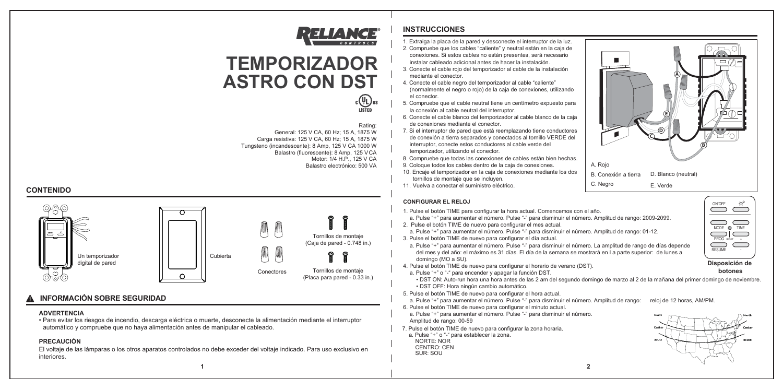**2**

### **PRECAUCIÓN**

El voltaje de las lámparas o los otros aparatos controlados no debe exceder del voltaje indicado. Para uso exclusivo en interiores.

### **INSTRUCCIONES**



- 1. Extraiga la placa de la pared y desconecte el interruptor de la luz.
- 2. Compruebe que los cables "caliente" y neutral están en la caja de conexiones. Si estos cables no están presentes, será necesario instalar cableado adicional antes de hacer la instalación.
- 3. Conecte el cable rojo del temporizador al cable de la instalación mediante el conector.
- 4. Conecte el cable negro del temporizador al cable "caliente" (normalmente el negro o rojo) de la caja de conexiones, utilizando el conector.
- 5. Compruebe que el cable neutral tiene un centímetro expuesto para la conexión al cable neutral del interruptor.
- 6. Conecte el cable blanco del temporizador al cable blanco de la caja de conexiones mediante el conector.
- 7. Si el interruptor de pared que está reemplazando tiene conductores de conexión a tierra separados y conectados al tornillo VERDE del interruptor, conecte estos conductores al cable verde del temporizador, utilizando el conector.
- 8. Compruebe que todas las conexiones de cables están bien hechas.
- 9. Coloque todos los cables dentro de la caja de conexiones.
- 10. Encaje el temporizador en la caja de conexiones mediante los dos tornillos de montaje que se incluyen.
- 11. Vuelva a conectar el suministro eléctrico.

**1**



### **ADVERTENCIA**

• Para evitar los riesgos de incendio, descarga eléctrica o muerte, desconecte la alimentación mediante el interruptor automático y compruebe que no haya alimentación antes de manipular el cableado.

# **INFORMACIÓN SOBRE SEGURIDAD**

### Rating:

 General: 125 V CA, 60 Hz; 15 A, 1875 W Carga resistiva: 125 V CA, 60 Hz; 15 A, 1875 W Tungsteno (incandescente): 8 Amp, 125 V CA 1000 W Balastro (fluorescente): 8 Amp, 125 VCA Motor: 1/4 H.P., 125 V CA Balastro electrónico: 500 VA



# RELIANCE

# **TEMPORIZADOR ASTRO CON DST**



### **CONFIGURAR EL RELOJ**

- 1. Pulse el botón TIME para configurar la hora actual. Comencemos con el año. a. Pulse "+" para aumentar el número. Pulse "-" para disminuir el número. Amplitud de rango: 2009-2099.
- 2. Pulse el botón TIME de nuevo para configurar el mes actual. a. Pulse "+" para aumentar el número. Pulse "-" para disminuir el número. Amplitud de rango: 01-12.
- 3. Pulse el botón TIME de nuevo para configurar el día actual.
- a. Pulse "+" para aumentar el número. Pulse "-" para disminuir el número. La amplitud de rango de días depende del mes y del año: el máximo es 31 días. El día de la semana se mostrará en l a parte superior: de lunes a domingo (MO a SU).
- 4. Pulse el botón TIME de nuevo para configurar el horario de verano (DST).
	- a. Pulse "+" o "-" para encender y apagar la función DST. • DST OFF: Hora ningún cambio automático.
- 5. Pulse el botón TIME de nuevo para configurar el hora actual. a. Pulse "+" para aumentar el número. Pulse "-" para disminuir el número. Amplitud de rango: reloj de 12 horas, AM/PM.
- 6. Pulse el botón TIME de nuevo para configurar el minuto actual. a. Pulse "+" para aumentar el número. Pulse "-" para disminuir el número. Amplitud de rango: 00-59
- 7. Pulse el botón TIME de nuevo para configurar la zona horaria. a. Pulse "+" o "-" para establecer la zona.
	- NORTE: NOR CENTRO: CEN SUR: SOU

• DST ON: Auto-run hora una hora antes de las 2 am del segundo domingo de marzo al 2 de la mañana del primer domingo de noviembre.





**Disposición de botones**